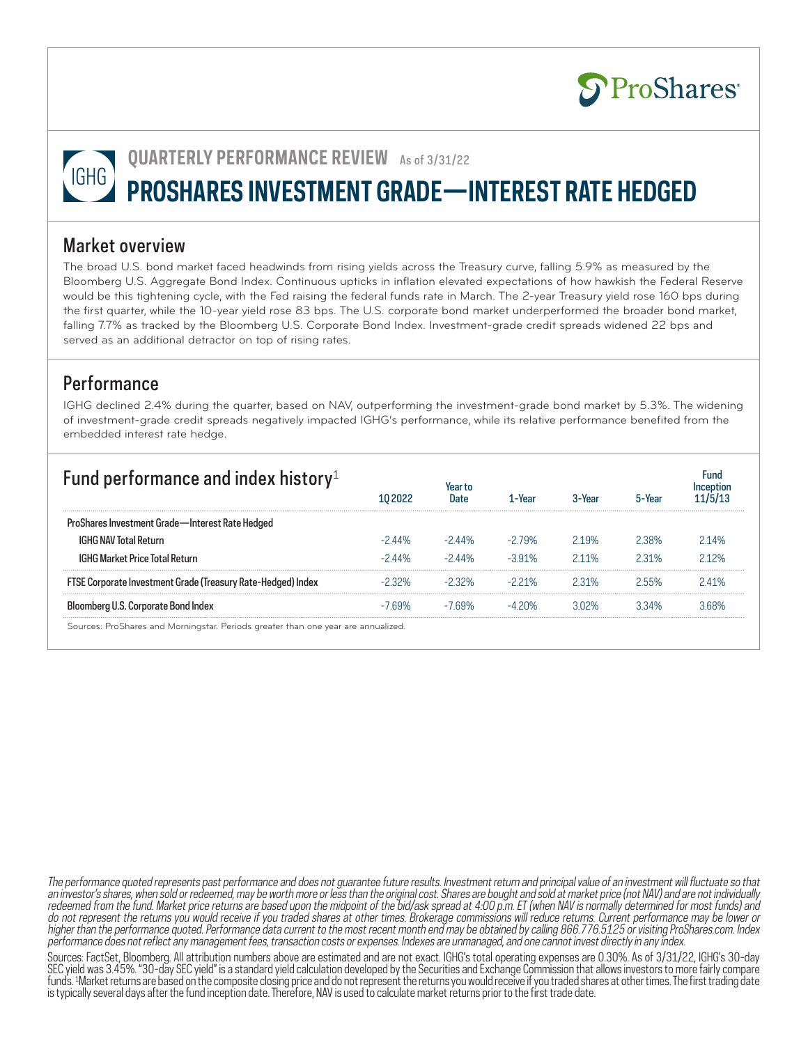

**QUARTERLY PERFORMANCE REVIEW** As of 3/31/22

# **PROSHARES INVESTMENT GRADE—INTEREST RATE HEDGED**

### Market overview

The broad U.S. bond market faced headwinds from rising yields across the Treasury curve, falling 5.9% as measured by the Bloomberg U.S. Aggregate Bond Index. Continuous upticks in inflation elevated expectations of how hawkish the Federal Reserve would be this tightening cycle, with the Fed raising the federal funds rate in March. The 2-year Treasury yield rose 160 bps during the first quarter, while the 10-year yield rose 83 bps. The U.S. corporate bond market underperformed the broader bond market, falling 7.7% as tracked by the Bloomberg U.S. Corporate Bond Index. Investment-grade credit spreads widened 22 bps and served as an additional detractor on top of rising rates.

## **Performance**

IGHG declined 2.4% during the quarter, based on NAV, outperforming the investment-grade bond market by 5.3%. The widening of investment-grade credit spreads negatively impacted IGHG's performance, while its relative performance benefited from the embedded interest rate hedge.

| Fund performance and index history <sup>1</sup>              |           |                     | l - Year | 3-Year | 5-Year | Fund  |
|--------------------------------------------------------------|-----------|---------------------|----------|--------|--------|-------|
| ProShares Investment Grade-Interest Rate Hedged              |           |                     |          |        |        |       |
| <b>IGHG NAV Total Return</b>                                 | $-244%$   | $-244%$             | $-279%$  | 219%   | 98% ?  | 214%  |
| <b>IGHG Market Price Total Return</b>                        | $-244%$   | $-2$ $\Delta$ $4\%$ | $-3.91%$ | 211%   | 2 31%  | 212%  |
| FTSE Corporate Investment Grade (Treasury Rate-Hedged) Index | $-2.32\%$ | $-2.32\%$           | $-221%$  | 2.31%  | 2.55%  | 241%  |
| Bloomberg U.S. Corporate Bond Index                          | -7 69%    | -769%               | $-420\%$ | 302%   | 3 34%  | 3 68% |
|                                                              |           |                     |          |        |        |       |

Sources: ProShares and Morningstar. Periods greater than one year are annualized.

The performance quoted represents past performance and does not guarantee future results. Investment return and principal value of an investment will fluctuate so that an investor's shares, when sold or redeemed, may be worth more or less than the original cost. Shares are bought and sold at market price (not NAV) and are not individually redeemed from the fund. Market price returns are based upon the midpoint of the bid/ask spread at 4:00 p.m. ET (when NAV is normally determined for most funds) and do not represent the returns you would receive if you traded shares at other times. Brokerage commissions will reduce returns. Current performance may be lower or higher than the performance quoted. Performance data current to the most recent month end may be obtained by calling 866.776.5125 or visiting ProShares.com. Index performance does not reflect any management fees, transaction costs or expenses. Indexes are unmanaged, and one cannot invest directly in any index.

Sources: FactSet, Bloomberg. All attribution numbers above are estimated and are not exact. IGHG's total operating expenses are 0.30%. As of 3/31/22, IGHG's 30-day SEC yield was 3.45%. "30-day SEC yield" is a standard yield calculation developed by the Securities and Exchange Commission that allows investors to more fairly compare funds. 1 Market returns are based on the composite closing price and do not represent the returns you would receive if you traded shares at other times. The first trading date is typically several days after the fund inception date. Therefore, NAV is used to calculate market returns prior to the first trade date.